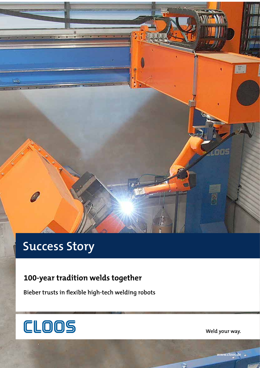

# **Success Story**

# **100-year tradition welds together**

**Bieber trusts in flexible high-tech welding robots**



**Weld your way.**

**www.cloos.de**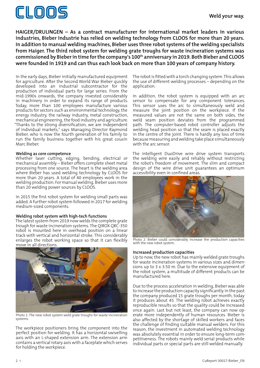

**HAIGER/DRULINGEN – As a contract manufacturer for international market leaders in various industries, Bieber Industrie has relied on welding technology from CLOOS for more than 20 years. In addition to manual welding machines, Bieber uses three robot systems of the welding specialists from Haiger. The third robot system for welding grate troughs for waste incineration systems was**  commissioned by Bieber in time for the company's 100<sup>th</sup> anniversary in 2019. Both Bieber and CLOOS **were founded in 1919 and can thus each look back on more than 100 years of company history.** 

In the early days, Bieber initially manufactured equipment for agriculture. After the Second World War Bieber quickly developed into an industrial subcontractor for the production of individual parts for large series. From the mid-1990s onwards, the company invested considerably in machinery in order to expand its range of products. Today, more than 100 employees manufacture various products for sectors such as environmental technology, the energy industry, the railway industry, metal construction, mechanical engineering, the food industry and agriculture. "Thanks to the strong diversification, we are independent of individual markets," says Managing Director Raymond Bieber, who is now the fourth generation of his family to run the family business together with his great cousin Marc Bieber.

## **Welding as core competence**

Whether laser cutting, edging, bending, electrical or mechanical assembly – Bieber offers complete sheet metal processing from one source. The heart is the welding area where Bieber has used welding technology by CLOOS for more than 20 years. A total of 40 employees work in the welding production. For manual welding, Bieber uses more than 20 welding power sources by CLOOS.

In 2015 the first robot system for welding small parts was added. A further robot system followed in 2017 for welding medium-sized components.

## **Welding robot system with high-tech functions**

The latest system from 2019 now welds the complete grate trough for waste incineration systems. The QIROX QRC-350 robot is mounted here in overhead position on a linear track with vertical and horizontal stroke. This considerably enlarges the robot working space so that it can flexibly move in all directions.



Photo 1: The new robot system weld grate troughs for waste incineration systems.

The workpiece positioners bring the component into the perfect position for welding. It has a horizontal swivelling axis with an L-shaped extension arm. The extension arm contains a vertical rotary axis with a faceplate which serves for holding the workpiece.

The robot is fitted with a torch changing system. This allows the use of different welding processes – depending on the application.

In addition, the robot system is equipped with an arc sensor to compensate for any component tolerances. This sensor uses the arc to simultaneously weld and measure the joint position on the workpiece. If the measured values are not the same on both sides, the weld seam position deviates from the programmed path. The computer-based robot controller adjusts the welding head position so that the seam is placed exactly in the centre of the joint. There is hardly any loss of time because measuring and welding take place simultaneously with the arc sensor.

The intelligent DuoDrive wire drive system transports the welding wire easily and reliably without restricting the robot's freedom of movement. The slim and compact design of the wire drive unit guarantees an optimum accessibility even in confined areas.



Photo 2: Bieber could considerably increase the production capacities with the new robot system.

#### **Increased production capacities**

Up to now, the new robot has mainly welded grate troughs for waste incineration systems in various sizes and dimensions up to 3 x 3.50 m. Due to the extensive equipment of the robot system, a multitude of different products can be manufactured here.

Due to the process acceleration in welding, Bieber was able to increase the production capacity significantly. In the past the company produced 15 grate troughs per month, today it produces about 45. The welding robot achieves exactly reproducible results so that the quality could be increased once again. Last but not least, the company can now operate more independently of human resources. Bieber is also affected by the shortage of skilled workers and faces the challenge of finding suitable manual welders. For this reason, the investment in automated welding technology was absolutely essential in order to ensure long-term competitiveness. The robots mainly weld serial products while individual parts or special parts are still welded manually.